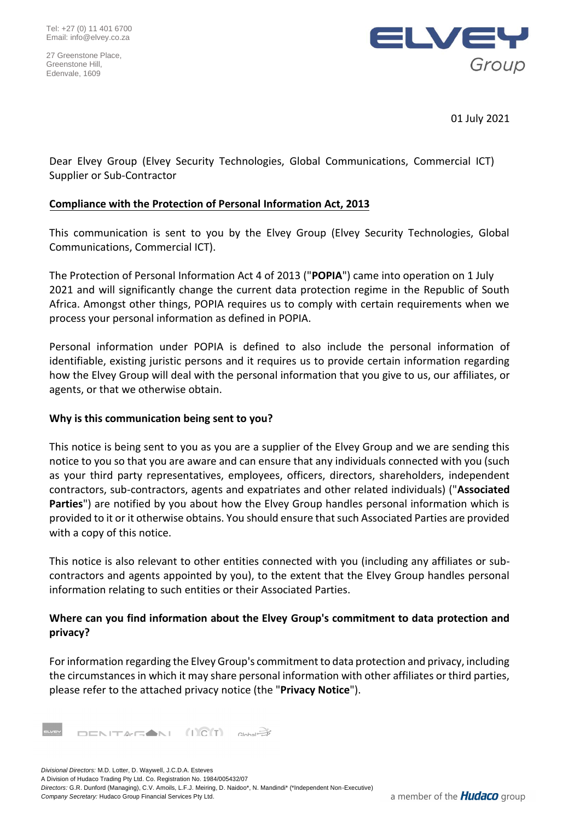27 Greenstone Place, Greenstone Hill, Edenvale, 1609



01 July 2021

Dear Elvey Group (Elvey Security Technologies, Global Communications, Commercial ICT) Supplier or Sub-Contractor

## **Compliance with the Protection of Personal Information Act, 2013**

This communication is sent to you by the Elvey Group (Elvey Security Technologies, Global Communications, Commercial ICT).

The Protection of Personal Information Act 4 of 2013 ("**POPIA**") came into operation on 1 July 2021 and will significantly change the current data protection regime in the Republic of South Africa. Amongst other things, POPIA requires us to comply with certain requirements when we process your personal information as defined in POPIA.

Personal information under POPIA is defined to also include the personal information of identifiable, existing juristic persons and it requires us to provide certain information regarding how the Elvey Group will deal with the personal information that you give to us, our affiliates, or agents, or that we otherwise obtain.

## **Why is this communication being sent to you?**

This notice is being sent to you as you are a supplier of the Elvey Group and we are sending this notice to you so that you are aware and can ensure that any individuals connected with you (such as your third party representatives, employees, officers, directors, shareholders, independent contractors, sub-contractors, agents and expatriates and other related individuals) ("**Associated Parties**") are notified by you about how the Elvey Group handles personal information which is provided to it or it otherwise obtains. You should ensure that such Associated Parties are provided with a copy of this notice.

This notice is also relevant to other entities connected with you (including any affiliates or subcontractors and agents appointed by you), to the extent that the Elvey Group handles personal information relating to such entities or their Associated Parties.

## **Where can you find information about the Elvey Group's commitment to data protection and privacy?**

For information regarding the Elvey Group's commitment to data protection and privacy, including the circumstances in which it may share personal information with other affiliates or third parties, please refer to the attached privacy notice (the "**Privacy Notice**").